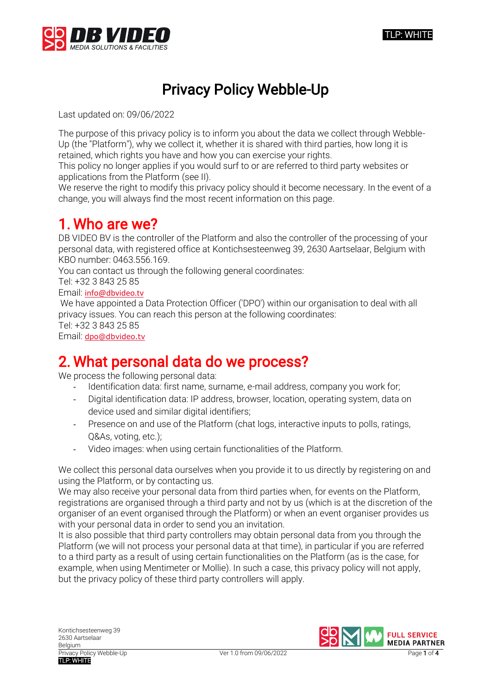

# Privacy Policy Webble-Up

Last updated on: 09/06/2022

The purpose of this privacy policy is to inform you about the data we collect through Webble-Up (the "Platform"), why we collect it, whether it is shared with third parties, how long it is retained, which rights you have and how you can exercise your rights.

This policy no longer applies if you would surf to or are referred to third party websites or applications from the Platform (see II).

We reserve the right to modify this privacy policy should it become necessary. In the event of a change, you will always find the most recent information on this page.

### 1. Who are we?

DB VIDEO BV is the controller of the Platform and also the controller of the processing of your personal data, with registered office at Kontichsesteenweg 39, 2630 Aartselaar, Belgium with KBO number: 0463.556.169.

You can contact us through the following general coordinates:

Tel: +32 3 843 25 85

Email: [info@dbvideo.tv](mailto:info@dbvideo.tv)

We have appointed a Data Protection Officer ('DPO') within our organisation to deal with all privacy issues. You can reach this person at the following coordinates: Tel: +32 3 843 25 85 Email: [dpo@dbvideo.tv](mailto:dpo@dbvideo.tv)

## 2. What personal data do we process?

We process the following personal data:

- Identification data: first name, surname, e-mail address, company you work for;
- Digital identification data: IP address, browser, location, operating system, data on device used and similar digital identifiers;
- Presence on and use of the Platform (chat logs, interactive inputs to polls, ratings, Q&As, voting, etc.);
- Video images: when using certain functionalities of the Platform.

We collect this personal data ourselves when you provide it to us directly by registering on and using the Platform, or by contacting us.

We may also receive your personal data from third parties when, for events on the Platform, registrations are organised through a third party and not by us (which is at the discretion of the organiser of an event organised through the Platform) or when an event organiser provides us with your personal data in order to send you an invitation.

It is also possible that third party controllers may obtain personal data from you through the Platform (we will not process your personal data at that time), in particular if you are referred to a third party as a result of using certain functionalities on the Platform (as is the case, for example, when using Mentimeter or Mollie). In such a case, this privacy policy will not apply, but the privacy policy of these third party controllers will apply.

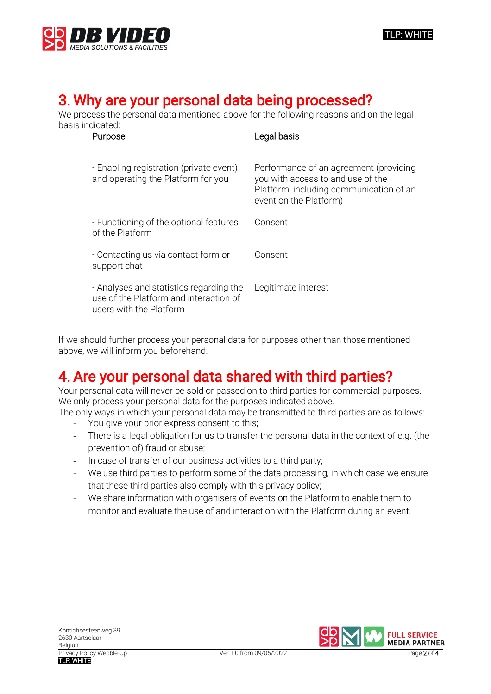

#### TLP: WHITE

## 3. Why are your personal data being processed?

We process the personal data mentioned above for the following reasons and on the legal basis indicated:

| Purpose                                                                                                      | Legal basis                                                                                                                                      |
|--------------------------------------------------------------------------------------------------------------|--------------------------------------------------------------------------------------------------------------------------------------------------|
| - Enabling registration (private event)<br>and operating the Platform for you                                | Performance of an agreement (providing<br>you with access to and use of the<br>Platform, including communication of an<br>event on the Platform) |
| - Functioning of the optional features<br>of the Platform                                                    | Consent                                                                                                                                          |
| - Contacting us via contact form or<br>support chat                                                          | Consent                                                                                                                                          |
| - Analyses and statistics regarding the<br>use of the Platform and interaction of<br>users with the Platform | Legitimate interest                                                                                                                              |

If we should further process your personal data for purposes other than those mentioned above, we will inform you beforehand.

## 4. Are your personal data shared with third parties?

Your personal data will never be sold or passed on to third parties for commercial purposes. We only process your personal data for the purposes indicated above.

The only ways in which your personal data may be transmitted to third parties are as follows:

- You give your prior express consent to this;
- There is a legal obligation for us to transfer the personal data in the context of e.g. (the prevention of) fraud or abuse;
- In case of transfer of our business activities to a third party;
- We use third parties to perform some of the data processing, in which case we ensure that these third parties also comply with this privacy policy;
- We share information with organisers of events on the Platform to enable them to monitor and evaluate the use of and interaction with the Platform during an event.

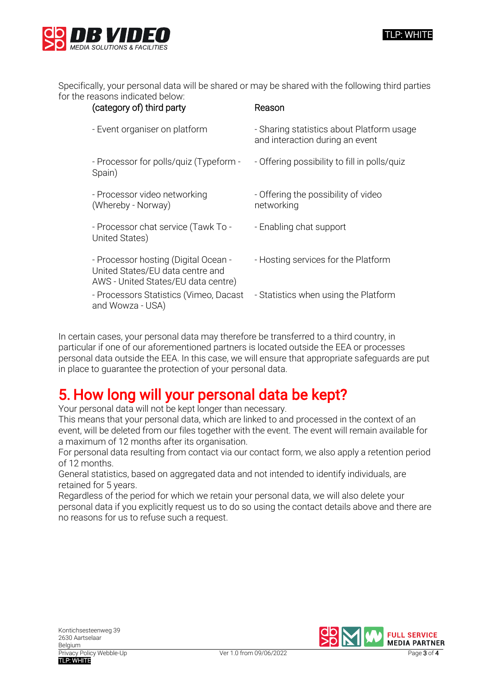



Specifically, your personal data will be shared or may be shared with the following third parties for the reasons indicated below:

| (category of) third party                                                                                       | Reason                                                                       |
|-----------------------------------------------------------------------------------------------------------------|------------------------------------------------------------------------------|
| - Event organiser on platform                                                                                   | - Sharing statistics about Platform usage<br>and interaction during an event |
| - Processor for polls/quiz (Typeform -<br>Spain)                                                                | - Offering possibility to fill in polls/quiz                                 |
| - Processor video networking<br>(Whereby - Norway)                                                              | - Offering the possibility of video<br>networking                            |
| - Processor chat service (Tawk To -<br>United States)                                                           | - Enabling chat support                                                      |
| - Processor hosting (Digital Ocean -<br>United States/EU data centre and<br>AWS - United States/EU data centre) | - Hosting services for the Platform                                          |
| - Processors Statistics (Vimeo, Dacast<br>and Wowza - USA)                                                      | - Statistics when using the Platform                                         |
|                                                                                                                 |                                                                              |

In certain cases, your personal data may therefore be transferred to a third country, in particular if one of our aforementioned partners is located outside the EEA or processes personal data outside the EEA. In this case, we will ensure that appropriate safeguards are put in place to guarantee the protection of your personal data.

# 5. How long will your personal data be kept?

Your personal data will not be kept longer than necessary.

This means that your personal data, which are linked to and processed in the context of an event, will be deleted from our files together with the event. The event will remain available for a maximum of 12 months after its organisation.

For personal data resulting from contact via our contact form, we also apply a retention period of 12 months.

General statistics, based on aggregated data and not intended to identify individuals, are retained for 5 years.

Regardless of the period for which we retain your personal data, we will also delete your personal data if you explicitly request us to do so using the contact details above and there are no reasons for us to refuse such a request.